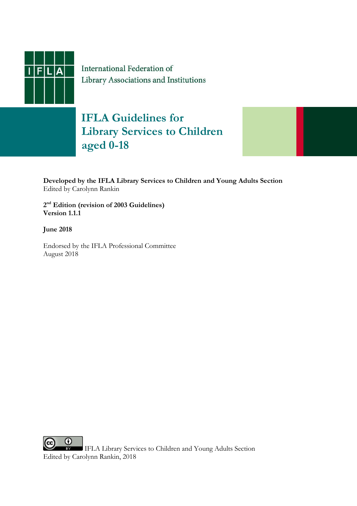

International Federation of Library Associations and Institutions

## **IFLA Guidelines for Library Services to Children aged 0-18**



**2 nd Edition (revision of 2003 Guidelines) Version 1.1.1**

**June 2018**

Endorsed by the IFLA Professional Committee August 2018

 $_{\odot}$  $_{\rm (cc)}$ IFLA Library Services to Children and Young Adults Section Edited by Carolynn Rankin, 2018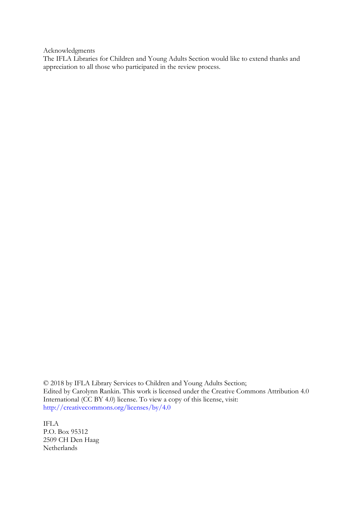Acknowledgments

The IFLA Libraries for Children and Young Adults Section would like to extend thanks and appreciation to all those who participated in the review process.

© 2018 by IFLA Library Services to Children and Young Adults Section; Edited by Carolynn Rankin. This work is licensed under the Creative Commons Attribution 4.0 International (CC BY 4.0) license. To view a copy of this license, visit: [http://creativecommons.org/licenses/by/4.0](http://creativecommons.org/licenses/by/4.0/)

IFLA P.O. Box 95312 2509 CH Den Haag Netherlands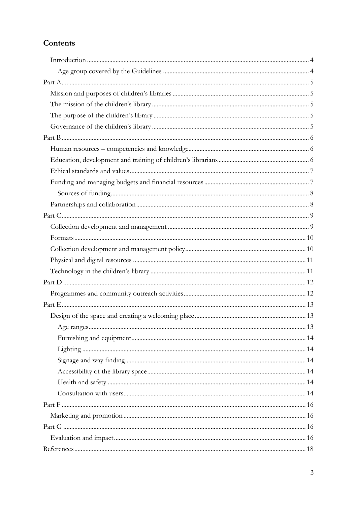## **Contents**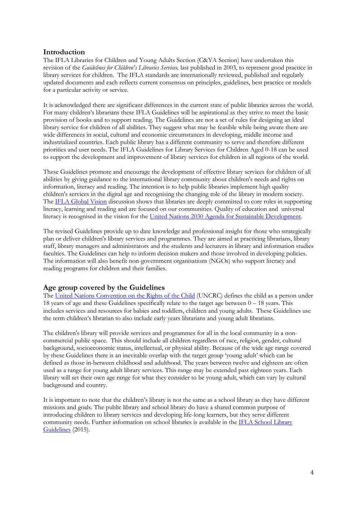#### <span id="page-3-0"></span>**Introduction**

The IFLA Libraries for Children and Young Adults Section (C&YA Section) have undertaken this revision of the *Guidelines for Children's Libraries Services,* last published in 2003, to represent good practice in library services for children. The IFLA standards are internationally reviewed, published and regularly updated documents and each reflects current consensus on principles, guidelines, best practice or models for a particular activity or service.

It is acknowledged there are significant differences in the current state of public libraries across the world. For many children's librarians these IFLA Guidelines will be aspirational as they strive to meet the basic provision of books and to support reading. The Guidelines are not a set of rules for designing an ideal library service for children of all abilities. They suggest what may be feasible while being aware there are wide differences in social, cultural and economic circumstances in developing, middle income and industrialized countries. Each public library has a different community to serve and therefore different priorities and user needs. The IFLA Guidelines for Library Services for Children Aged 0-18 can be used to support the development and improvement of library services for children in all regions of the world.

These Guidelines promote and encourage the development of effective library services for children of all abilities by giving guidance to the international library community about children's needs and rights on information, literacy and reading. The intention is to help public libraries implement high quality children's services in the digital age and recognising the changing role of the library in modern society. Th[e IFLA Global Vision](https://www.ifla.org/files/assets/GVMultimedia/publications/gv-report-summary.pdf) discussion shows that libraries are deeply committed to core roles in supporting literacy, learning and reading and are focused on our communities. Quality of education and universal literacy is recognised in the vision for the United Nations [2030 Agenda for Sustainable Development.](https://sustainabledevelopment.un.org/content/documents/21252030%20Agenda%20for%20Sustainable%20Development%20web.pdf)

The revised Guidelines provide up to date knowledge and professional insight for those who strategically plan or deliver children's library services and programmes. They are aimed at practicing librarians, library staff, library managers and administrators and the students and lecturers in library and information studies faculties. The Guidelines can help to inform decision makers and those involved in developing policies. The information will also benefit non-government organisations (NGOs) who support literacy and reading programs for children and their families.

#### <span id="page-3-1"></span>**Age group covered by the Guidelines**

Th[e United Nations Convention on the Rights of the Child](https://downloads.unicef.org.uk/wp-content/uploads/2010/05/UNCRC_united_nations_convention_on_the_rights_of_the_child.pdf?_ga=2.43704739.782552475.1527926324-357630985.1527926324) (UNCRC) defines the child as a person under 18 years of age and these Guidelines specifically relate to the target age between  $0 - 18$  years. This includes services and resources for babies and toddlers, children and young adults. These Guidelines use the term children's librarian to also include early years librarians and young adult librarians.

The children's library will provide services and programmes for all in the local community in a noncommercial public space. This should include all children regardless of race, religion, gender, cultural background, socioeconomic status, intellectual, or physical ability. Because of the wide age range covered by these Guidelines there is an inevitable overlap with the target group 'young adult' which can be defined as those in-between childhood and adulthood. The years between twelve and eighteen are often used as a range for young adult library services. This range may be extended past eighteen years. Each library will set their own age range for what they consider to be young adult, which can vary by cultural background and country.

It is important to note that the children's library is not the same as a school library as they have different missions and goals. The public library and school library do have a shared common purpose of introducing children to library services and developing life-long learners, but they serve different community needs. Further information on school libraries is available in the IFLA School Library [Guidelines](http://www.ifla.org/files/assets/school-libraries-resource-centers/publications/ifla-school-library-guidelines.pdf) (2015).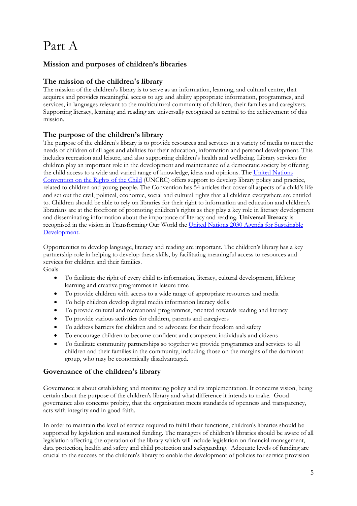## <span id="page-4-0"></span>Part A

## <span id="page-4-1"></span>**Mission and purposes of children's libraries**

### <span id="page-4-2"></span>**The mission of the children's library**

The mission of the children's library is to serve as an information, learning, and cultural centre, that acquires and provides meaningful access to age and ability appropriate information, programmes, and services, in languages relevant to the multicultural community of children, their families and caregivers. Supporting literacy, learning and reading are universally recognised as central to the achievement of this mission.

## <span id="page-4-3"></span>**The purpose of the children's library**

The purpose of the children's library is to provide resources and services in a variety of media to meet the needs of children of all ages and abilities for their education, information and personal development. This includes recreation and leisure, and also supporting children's health and wellbeing. Library services for children play an important role in the development and maintenance of a democratic society by offering the child access to a wide and varied range of knowledge, ideas and opinions. The [United Nations](https://downloads.unicef.org.uk/wp-content/uploads/2010/05/UNCRC_united_nations_convention_on_the_rights_of_the_child.pdf?_ga=2.127724997.956144287.1528014397-357630985.1527926324)  [Convention on the Rights of the Child](https://downloads.unicef.org.uk/wp-content/uploads/2010/05/UNCRC_united_nations_convention_on_the_rights_of_the_child.pdf?_ga=2.127724997.956144287.1528014397-357630985.1527926324) (UNCRC) offers support to develop library policy and practice, related to children and young people. The Convention has 54 articles that cover all aspects of a child's life and set out the civil, political, economic, social and cultural rights that all children everywhere are entitled to. Children should be able to rely on libraries for their right to information and education and children's librarians are at the forefront of promoting children's rights as they play a key role in literacy development and disseminating information about the importance of literacy and reading. **Universal literacy** is recognised in the vision in Transforming Our World the United Nations [2030 Agenda for Sustainable](https://sustainabledevelopment.un.org/content/documents/21252030%20Agenda%20for%20Sustainable%20Development%20web.pdf)  [Development.](https://sustainabledevelopment.un.org/content/documents/21252030%20Agenda%20for%20Sustainable%20Development%20web.pdf)

Opportunities to develop language, literacy and reading are important. The children's library has a key partnership role in helping to develop these skills, by facilitating meaningful access to resources and services for children and their families.

Goals

- To facilitate the right of every child to information, literacy, cultural development, lifelong learning and creative programmes in leisure time
- To provide children with access to a wide range of appropriate resources and media
- To help children develop digital media information literacy skills
- To provide cultural and recreational programmes, oriented towards reading and literacy
- To provide various activities for children, parents and caregivers
- To address barriers for children and to advocate for their freedom and safety
- To encourage children to become confident and competent individuals and citizens
- To facilitate community partnerships so together we provide programmes and services to all children and their families in the community, including those on the margins of the dominant group, who may be economically disadvantaged.

## <span id="page-4-4"></span>**Governance of the children's library**

Governance is about establishing and monitoring policy and its implementation. It concerns vision, being certain about the purpose of the children's library and what difference it intends to make. Good governance also concerns probity, that the organisation meets standards of openness and transparency, acts with integrity and in good faith.

In order to maintain the level of service required to fulfill their functions, children's libraries should be supported by legislation and sustained funding. The managers of children's libraries should be aware of all legislation affecting the operation of the library which will include legislation on financial management, data protection, health and safety and child protection and safeguarding. Adequate levels of funding are crucial to the success of the children's library to enable the development of policies for service provision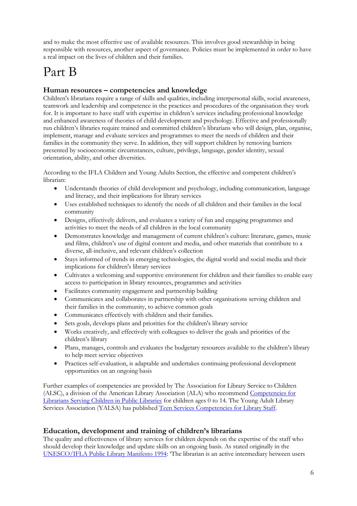and to make the most effective use of available resources. This involves good stewardship in being responsible with resources, another aspect of governance. Policies must be implemented in order to have a real impact on the lives of children and their families.

# <span id="page-5-0"></span>Part B

## <span id="page-5-1"></span>**Human resources – competencies and knowledge**

Children's librarians require a range of skills and qualities, including interpersonal skills, social awareness, teamwork and leadership and competence in the practices and procedures of the organisation they work for. It is important to have staff with expertise in children's services including professional knowledge and enhanced awareness of theories of child development and psychology. Effective and professionally run children's libraries require trained and committed children's librarians who will design, plan, organise, implement, manage and evaluate services and programmes to meet the needs of children and their families in the community they serve. In addition, they will support children by removing barriers presented by socioeconomic circumstances, culture, privilege, language, gender identity, sexual orientation, ability, and other diversities.

According to the IFLA Children and Young Adults Section, the effective and competent children's librarian:

- Understands theories of child development and psychology, including communication, language and literacy, and their implications for library services
- Uses established techniques to identify the needs of all children and their families in the local community
- Designs, effectively delivers, and evaluates a variety of fun and engaging programmes and activities to meet the needs of all children in the local community
- Demonstrates knowledge and management of current children's culture: literature, games, music and films, children's use of digital content and media, and other materials that contribute to a diverse, all-inclusive, and relevant children's collection
- Stays informed of trends in emerging technologies, the digital world and social media and their implications for children's library services
- Cultivates a welcoming and supportive environment for children and their families to enable easy access to participation in library resources, programmes and activities
- Facilitates community engagement and partnership building
- Communicates and collaborates in partnership with other organisations serving children and their families in the community, to achieve common goals
- Communicates effectively with children and their families.
- Sets goals, develops plans and priorities for the children's library service
- Works creatively, and effectively with colleagues to deliver the goals and priorities of the children's library
- Plans, manages, controls and evaluates the budgetary resources available to the children's library to help meet service objectives
- Practices self-evaluation, is adaptable and undertakes continuing professional development opportunities on an ongoing basis

Further examples of competencies are provided by The Association for Library Service to Children (ALSC), a division of the American Library Association (ALA) who recommend [Competencies for](http://www.ala.org/alsc/edcareeers/alsccorecomps)  [Librarians Serving Children in Public Libraries](http://www.ala.org/alsc/edcareeers/alsccorecomps) for children ages 0 to 14. The Young Adult Library Services Association (YALSA) has published [Teen Services Competencies for Library Staff.](http://www.ala.org/yalsa/sites/ala.org.yalsa/files/content/YALSA_TeenCompetencies_web_Final.pdf)

## <span id="page-5-2"></span>**Education, development and training of children's librarians**

The quality and effectiveness of library services for children depends on the expertise of the staff who should develop their knowledge and update skills on an ongoing basis. As stated originally in the [UNESCO/IFLA Public Library Manifesto 1994:](https://www.ifla.org/publications/iflaunesco-public-library-manifesto-1994) 'The librarian is an active intermediary between users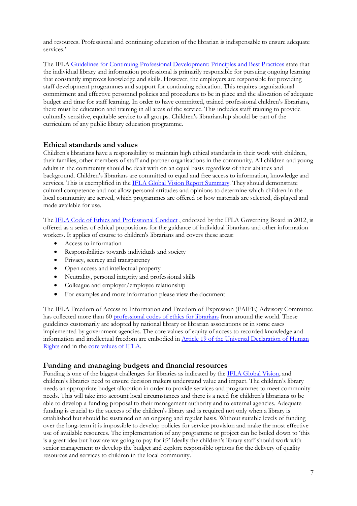and resources. Professional and continuing education of the librarian is indispensable to ensure adequate services.'

The IFLA [Guidelines for Continuing Professional Development: Principles and Best Practices](http://www.ifla.org/files/assets/cpdwl/guidelines/ifla-guidelines-for-continuing-professional-development.pdf) state that the individual library and information professional is primarily responsible for pursuing ongoing learning that constantly improves knowledge and skills. However, the employers are responsible for providing staff development programmes and support for continuing education. This requires organisational commitment and effective personnel policies and procedures to be in place and the allocation of adequate budget and time for staff learning. In order to have committed, trained professional children's librarians, there must be education and training in all areas of the service. This includes staff training to provide culturally sensitive, equitable service to all groups. Children's librarianship should be part of the curriculum of any public library education programme.

#### <span id="page-6-0"></span>**Ethical standards and values**

Children's librarians have a responsibility to maintain high ethical standards in their work with children, their families, other members of staff and partner organisations in the community. All children and young adults in the community should be dealt with on an equal basis regardless of their abilities and background. Children's librarians are committed to equal and free access to information, knowledge and services. This is exemplified in the [IFLA Global Vision Report Summary.](https://www.ifla.org/files/assets/GVMultimedia/publications/gv-report-summary.pdf) They should demonstrate cultural competence and not allow personal attitudes and opinions to determine which children in the local community are served, which programmes are offered or how materials are selected, displayed and made available for use.

Th[e IFLA Code of Ethics and Professional Conduct](http://www.ifla.org/files/assets/faife/news/IFLA%20Code%20of%20Ethics%20-%20Short.pdf) , endorsed by the IFLA Governing Board in 2012, is offered as a series of ethical propositions for the guidance of individual librarians and other information workers. It applies of course to children's librarians and covers these areas:

- Access to information
- Responsibilities towards individuals and society
- Privacy, secrecy and transparency
- Open access and intellectual property
- Neutrality, personal integrity and professional skills
- Colleague and employer/employee relationship
- For examples and more information please view the document

The IFLA Freedom of Access to Information and Freedom of Expression (FAIFE) Advisory Committee has collected more than 60 [professional codes of ethics for librarians](http://www.ifla.org/faife/professional-codes-of-ethics-for-librarians#nationalcodes.) from around the world. These guidelines customarily are adopted by national library or librarian associations or in some cases implemented by government agencies. The core values of equity of access to recorded knowledge and information and intellectual freedom are embodied in [Article 19 of the Universal Declaration of Human](http://www.un.org/en/universal-declaration-human-rights/)  [Rights](http://www.un.org/en/universal-declaration-human-rights/) and in the [core values of IFLA.](https://www.ifla.org/about/more)

#### <span id="page-6-1"></span>**Funding and managing budgets and financial resources**

Funding is one of the biggest challenges for libraries as indicated by the [IFLA Global Vision,](https://www.ifla.org/node/11905) and children's libraries need to ensure decision makers understand value and impact. The children's library needs an appropriate budget allocation in order to provide services and programmes to meet community needs. This will take into account local circumstances and there is a need for children's librarians to be able to develop a funding proposal to their management authority and to external agencies. Adequate funding is crucial to the success of the children's library and is required not only when a library is established but should be sustained on an ongoing and regular basis. Without suitable levels of funding over the long-term it is impossible to develop policies for service provision and make the most effective use of available resources. The implementation of any programme or project can be boiled down to 'this is a great idea but how are we going to pay for it?' Ideally the children's library staff should work with senior management to develop the budget and explore responsible options for the delivery of quality resources and services to children in the local community.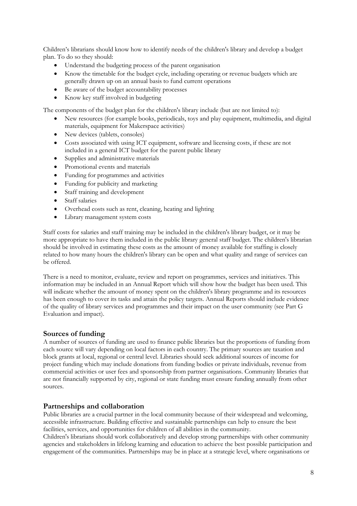Children's librarians should know how to identify needs of the children's library and develop a budget plan. To do so they should:

- Understand the budgeting process of the parent organisation
- Know the timetable for the budget cycle, including operating or revenue budgets which are generally drawn up on an annual basis to fund current operations
- Be aware of the budget accountability processes
- Know key staff involved in budgeting

The components of the budget plan for the children's library include (but are not limited to):

- New resources (for example books, periodicals, toys and play equipment, multimedia, and digital materials, equipment for Makerspace activities)
- New devices (tablets, consoles)
- Costs associated with using ICT equipment, software and licensing costs, if these are not included in a general ICT budget for the parent public library
- Supplies and administrative materials
- Promotional events and materials
- Funding for programmes and activities
- Funding for publicity and marketing
- Staff training and development
- Staff salaries
- Overhead costs such as rent, cleaning, heating and lighting
- Library management system costs

Staff costs for salaries and staff training may be included in the children's library budget, or it may be more appropriate to have them included in the public library general staff budget. The children's librarian should be involved in estimating these costs as the amount of money available for staffing is closely related to how many hours the children's library can be open and what quality and range of services can be offered.

There is a need to monitor, evaluate, review and report on programmes, services and initiatives. This information may be included in an Annual Report which will show how the budget has been used. This will indicate whether the amount of money spent on the children's library programme and its resources has been enough to cover its tasks and attain the policy targets. Annual Reports should include evidence of the quality of library services and programmes and their impact on the user community (see Part G Evaluation and impact).

#### <span id="page-7-0"></span>**Sources of funding**

A number of sources of funding are used to finance public libraries but the proportions of funding from each source will vary depending on local factors in each country. The primary sources are taxation and block grants at local, regional or central level. Libraries should seek additional sources of income for project funding which may include donations from funding bodies or private individuals, revenue from commercial activities or user fees and sponsorship from partner organisations. Community libraries that are not financially supported by city, regional or state funding must ensure funding annually from other sources.

#### <span id="page-7-1"></span>**Partnerships and collaboration**

Public libraries are a crucial partner in the local community because of their widespread and welcoming, accessible infrastructure. Building effective and sustainable partnerships can help to ensure the best facilities, services, and opportunities for children of all abilities in the community.

Children's librarians should work collaboratively and develop strong partnerships with other community agencies and stakeholders in lifelong learning and education to achieve the best possible participation and engagement of the communities. Partnerships may be in place at a strategic level, where organisations or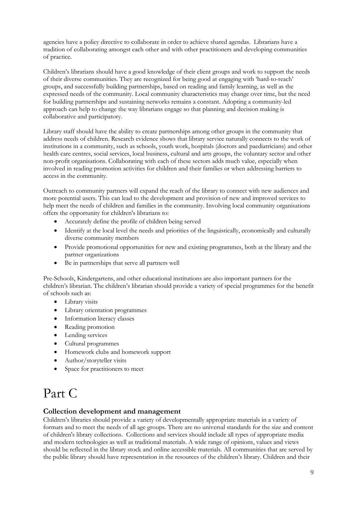agencies have a policy directive to collaborate in order to achieve shared agendas. Librarians have a tradition of collaborating amongst each other and with other practitioners and developing communities of practice.

Children's librarians should have a good knowledge of their client groups and work to support the needs of their diverse communities. They are recognized for being good at engaging with 'hard-to-reach' groups, and successfully building partnerships, based on reading and family learning, as well as the expressed needs of the community. Local community characteristics may change over time, but the need for building partnerships and sustaining networks remains a constant. Adopting a community-led approach can help to change the way librarians engage so that planning and decision making is collaborative and participatory.

Library staff should have the ability to create partnerships among other groups in the community that address needs of children. Research evidence shows that library service naturally connects to the work of institutions in a community, such as schools, youth work, hospitals (doctors and paediatricians) and other health care centres, social services, local business, cultural and arts groups, the voluntary sector and other non-profit organisations. Collaborating with each of these sectors adds much value, especially when involved in reading promotion activities for children and their families or when addressing barriers to access in the community.

Outreach to community partners will expand the reach of the library to connect with new audiences and more potential users. This can lead to the development and provision of new and improved services to help meet the needs of children and families in the community. Involving local community organisations offers the opportunity for children's librarians to:

- Accurately define the profile of children being served
- Identify at the local level the needs and priorities of the linguistically, economically and culturally diverse community members
- Provide promotional opportunities for new and existing programmes, both at the library and the partner organizations
- Be in partnerships that serve all partners well

Pre-Schools, Kindergartens, and other educational institutions are also important partners for the children's librarian. The children's librarian should provide a variety of special programmes for the benefit of schools such as:

- Library visits
- Library orientation programmes
- Information literacy classes
- Reading promotion
- Lending services
- Cultural programmes
- Homework clubs and homework support
- Author/storyteller visits
- Space for practitioners to meet

## <span id="page-8-0"></span>Part C

#### <span id="page-8-1"></span>**Collection development and management**

Children's libraries should provide a variety of developmentally appropriate materials in a variety of formats and to meet the needs of all age groups. There are no universal standards for the size and content of children's library collections. Collections and services should include all types of appropriate media and modern technologies as well as traditional materials. A wide range of opinions, values and views should be reflected in the library stock and online accessible materials. All communities that are served by the public library should have representation in the resources of the children's library. Children and their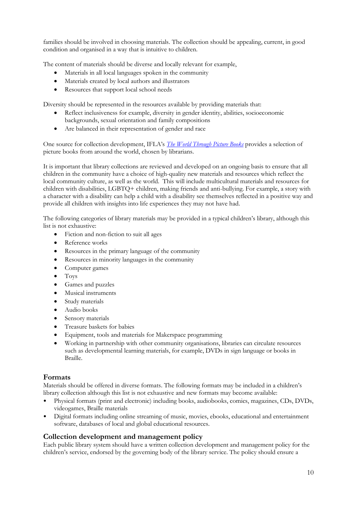families should be involved in choosing materials. The collection should be appealing, current, in good condition and organised in a way that is intuitive to children.

The content of materials should be diverse and locally relevant for example,

- Materials in all local languages spoken in the community
- Materials created by local authors and illustrators
- Resources that support local school needs

Diversity should be represented in the resources available by providing materials that:

- Reflect inclusiveness for example, diversity in gender identity, abilities, socioeconomic backgrounds, sexual orientation and family compositions
- Are balanced in their representation of gender and race

One source for collection development, IFLA's *[The World Through Picture Books](https://www.ifla.org/files/assets/hq/publications/professional-report/136.pdf)* provides a selection of picture books from around the world, chosen by librarians.

It is important that library collections are reviewed and developed on an ongoing basis to ensure that all children in the community have a choice of high-quality new materials and resources which reflect the local community culture, as well as the world. This will include multicultural materials and resources for children with disabilities, LGBTQ+ children, making friends and anti-bullying. For example, a story with a character with a disability can help a child with a disability see themselves reflected in a positive way and provide all children with insights into life experiences they may not have had.

The following categories of library materials may be provided in a typical children's library, although this list is not exhaustive:

- Fiction and non-fiction to suit all ages
- Reference works
- Resources in the primary language of the community
- Resources in minority languages in the community
- Computer games
- Toys
- Games and puzzles
- Musical instruments
- Study materials
- Audio books
- Sensory materials
- Treasure baskets for babies
- Equipment, tools and materials for Makerspace programming
- Working in partnership with other community organisations, libraries can circulate resources such as developmental learning materials, for example, DVDs in sign language or books in Braille.

#### <span id="page-9-0"></span>**Formats**

Materials should be offered in diverse formats. The following formats may be included in a children's library collection although this list is not exhaustive and new formats may become available:

- Physical formats (print and electronic) including books, audiobooks, comics, magazines, CDs, DVDs, videogames, Braille materials
- Digital formats including online streaming of music, movies, ebooks, educational and entertainment software, databases of local and global educational resources.

## <span id="page-9-1"></span>**Collection development and management policy**

Each public library system should have a written collection development and management policy for the children's service, endorsed by the governing body of the library service. The policy should ensure a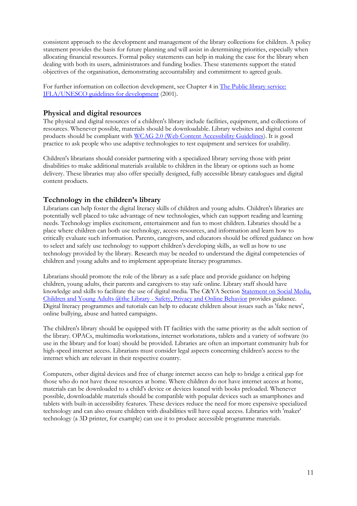consistent approach to the development and management of the library collections for children. A policy statement provides the basis for future planning and will assist in determining priorities, especially when allocating financial resources. Formal policy statements can help in making the case for the library when dealing with both its users, administrators and funding bodies. These statements support the stated objectives of the organisation, demonstrating accountability and commitment to agreed goals.

For further information on collection development, see Chapter 4 in The Public library service: [IFLA/UNESCO guidelines for development](http://www.ifla.org/files/assets/hq/publications/archive/the-public-library-service/publ97.pdf) (2001).

#### <span id="page-10-0"></span>**Physical and digital resources**

The physical and digital resources of a children's library include facilities, equipment, and collections of resources. Whenever possible, materials should be downloadable. Library websites and digital content products should be compliant with [WCAG 2.0 \(Web Content Accessibility Guidelines\)](https://www.w3.org/TR/WCAG20/). It is good practice to ask people who use adaptive technologies to test equipment and services for usability.

Children's librarians should consider partnering with a specialized library serving those with print disabilities to make additional materials available to children in the library or options such as home delivery. These libraries may also offer specially designed, fully accessible library catalogues and digital content products.

#### <span id="page-10-1"></span>**Technology in the children's library**

Librarians can help foster the digital literacy skills of children and young adults. Children's libraries are potentially well placed to take advantage of new technologies, which can support reading and learning needs. Technology implies excitement, entertainment and fun to most children. Libraries should be a place where children can both use technology, access resources, and information and learn how to critically evaluate such information. Parents, caregivers, and educators should be offered guidance on how to select and safely use technology to support children's developing skills, as well as how to use technology provided by the library. Research may be needed to understand the digital competencies of children and young adults and to implement appropriate literacy programmes.

Librarians should promote the role of the library as a safe place and provide guidance on helping children, young adults, their parents and caregivers to stay safe online. Library staff should have knowledge and skills to facilitate the use of digital media. The C&YA Section [Statement on Social Media,](https://www.ifla.org/files/assets/libraries-for-children-and-ya/publications/social_media_children_and_young_adults.pdf)  [Children and Young Adults @the Library -](https://www.ifla.org/files/assets/libraries-for-children-and-ya/publications/social_media_children_and_young_adults.pdf) Safety, Privacy and Online Behavior provides guidance. Digital literacy programmes and tutorials can help to educate children about issues such as 'fake news', online bullying, abuse and hatred campaigns.

The children's library should be equipped with IT facilities with the same priority as the adult section of the library. OPACs, multimedia workstations, internet workstations, tablets and a variety of software (to use in the library and for loan) should be provided. Libraries are often an important community hub for high-speed internet access. Librarians must consider legal aspects concerning children's access to the internet which are relevant in their respective country.

Computers, other digital devices and free of charge internet access can help to bridge a critical gap for those who do not have those resources at home. Where children do not have internet access at home, materials can be downloaded to a child's device or devices loaned with books preloaded. Whenever possible, downloadable materials should be compatible with popular devices such as smartphones and tablets with built-in accessibility features. These devices reduce the need for more expensive specialized technology and can also ensure children with disabilities will have equal access. Libraries with 'maker' technology (a 3D printer, for example) can use it to produce accessible programme materials.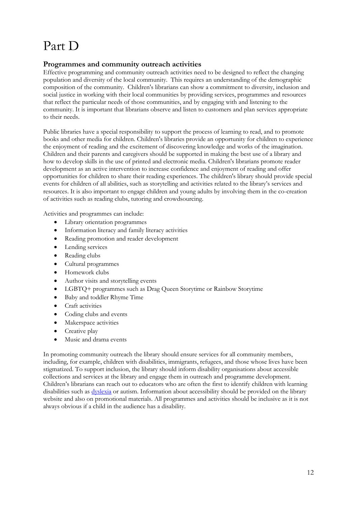## <span id="page-11-0"></span>Part D

### <span id="page-11-1"></span>**Programmes and community outreach activities**

Effective programming and community outreach activities need to be designed to reflect the changing population and diversity of the local community. This requires an understanding of the demographic composition of the community. Children's librarians can show a commitment to diversity, inclusion and social justice in working with their local communities by providing services, programmes and resources that reflect the particular needs of those communities, and by engaging with and listening to the community. It is important that librarians observe and listen to customers and plan services appropriate to their needs.

Public libraries have a special responsibility to support the process of learning to read, and to promote books and other media for children. Children's libraries provide an opportunity for children to experience the enjoyment of reading and the excitement of discovering knowledge and works of the imagination. Children and their parents and caregivers should be supported in making the best use of a library and how to develop skills in the use of printed and electronic media. Children's librarians promote reader development as an active intervention to increase confidence and enjoyment of reading and offer opportunities for children to share their reading experiences. The children's library should provide special events for children of all abilities, such as storytelling and activities related to the library's services and resources. It is also important to engage children and young adults by involving them in the co-creation of activities such as reading clubs, tutoring and crowdsourcing.

Activities and programmes can include:

- Library orientation programmes
- Information literacy and family literacy activities
- Reading promotion and reader development
- Lending services
- Reading clubs
- Cultural programmes
- Homework clubs
- Author visits and storytelling events
- LGBTQ+ programmes such as Drag Queen Storytime or Rainbow Storytime
- Baby and toddler Rhyme Time
- Craft activities
- Coding clubs and events
- Makerspace activities
- Creative play
- Music and drama events

In promoting community outreach the library should ensure services for all community members, including, for example, children with disabilities, immigrants, refugees, and those whose lives have been stigmatized. To support inclusion, the library should inform disability organisations about accessible collections and services at the library and engage them in outreach and programme development. Children's librarians can reach out to educators who are often the first to identify children with learning disabilities such as [dyslexia](https://www.ifla.org/files/assets/lsn/publications/guidelines-for-library-services-to-persons-with-dyslexia_2014.pdf) or autism. Information about accessibility should be provided on the library website and also on promotional materials. All programmes and activities should be inclusive as it is not always obvious if a child in the audience has a disability.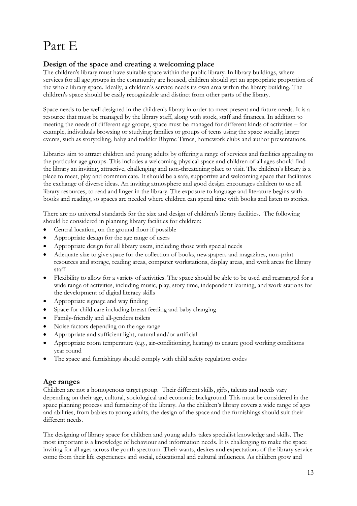# <span id="page-12-0"></span>Part E

## <span id="page-12-1"></span>**Design of the space and creating a welcoming place**

The children's library must have suitable space within the public library. In library buildings, where services for all age groups in the community are housed, children should get an appropriate proportion of the whole library space. Ideally, a children's service needs its own area within the library building. The children's space should be easily recognizable and distinct from other parts of the library.

Space needs to be well designed in the children's library in order to meet present and future needs. It is a resource that must be managed by the library staff, along with stock, staff and finances. In addition to meeting the needs of different age groups, space must be managed for different kinds of activities – for example, individuals browsing or studying; families or groups of teens using the space socially; larger events, such as storytelling, baby and toddler Rhyme Times, homework clubs and author presentations.

Libraries aim to attract children and young adults by offering a range of services and facilities appealing to the particular age groups. This includes a welcoming physical space and children of all ages should find the library an inviting, attractive, challenging and non-threatening place to visit. The children's library is a place to meet, play and communicate. It should be a safe, supportive and welcoming space that facilitates the exchange of diverse ideas. An inviting atmosphere and good design encourages children to use all library resources, to read and linger in the library. The exposure to language and literature begins with books and reading, so spaces are needed where children can spend time with books and listen to stories.

There are no universal standards for the size and design of children's library facilities. The following should be considered in planning library facilities for children:

- Central location, on the ground floor if possible
- Appropriate design for the age range of users
- Appropriate design for all library users, including those with special needs
- Adequate size to give space for the collection of books, newspapers and magazines, non-print resources and storage, reading areas, computer workstations, display areas, and work areas for library staff
- Flexibility to allow for a variety of activities. The space should be able to be used and rearranged for a wide range of activities, including music, play, story time, independent learning, and work stations for the development of digital literacy skills
- Appropriate signage and way finding
- Space for child care including breast feeding and baby changing
- Family-friendly and all-genders toilets
- Noise factors depending on the age range
- Appropriate and sufficient light, natural and/or artificial
- Appropriate room temperature (e.g., air-conditioning, heating) to ensure good working conditions year round
- The space and furnishings should comply with child safety regulation codes

#### <span id="page-12-2"></span>**Age ranges**

Children are not a homogenous target group. Their different skills, gifts, talents and needs vary depending on their age, cultural, sociological and economic background. This must be considered in the space planning process and furnishing of the library. As the children's library covers a wide range of ages and abilities, from babies to young adults, the design of the space and the furnishings should suit their different needs.

The designing of library space for children and young adults takes specialist knowledge and skills. The most important is a knowledge of behaviour and information needs. It is challenging to make the space inviting for all ages across the youth spectrum. Their wants, desires and expectations of the library service come from their life experiences and social, educational and cultural influences. As children grow and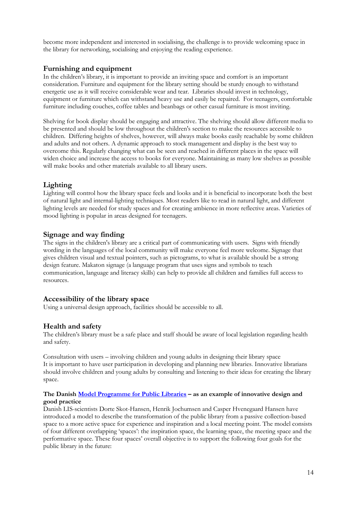become more independent and interested in socialising, the challenge is to provide welcoming space in the library for networking, socialising and enjoying the reading experience.

#### <span id="page-13-0"></span>**Furnishing and equipment**

In the children's library, it is important to provide an inviting space and comfort is an important consideration. Furniture and equipment for the library setting should be sturdy enough to withstand energetic use as it will receive considerable wear and tear. Libraries should invest in technology, equipment or furniture which can withstand heavy use and easily be repaired. For teenagers, comfortable furniture including couches, coffee tables and beanbags or other casual furniture is most inviting.

Shelving for book display should be engaging and attractive. The shelving should allow different media to be presented and should be low throughout the children's section to make the resources accessible to children. Differing heights of shelves, however, will always make books easily reachable by some children and adults and not others. A dynamic approach to stock management and display is the best way to overcome this. Regularly changing what can be seen and reached in different places in the space will widen choice and increase the access to books for everyone. Maintaining as many low shelves as possible will make books and other materials available to all library users.

## <span id="page-13-1"></span>**Lighting**

Lighting will control how the library space feels and looks and it is beneficial to incorporate both the best of natural light and internal-lighting techniques. Most readers like to read in natural light, and different lighting levels are needed for study spaces and for creating ambience in more reflective areas. Varieties of mood lighting is popular in areas designed for teenagers.

#### <span id="page-13-2"></span>**Signage and way finding**

The signs in the children's library are a critical part of communicating with users. Signs with friendly wording in the languages of the local community will make everyone feel more welcome. Signage that gives children visual and textual pointers, such as pictograms, to what is available should be a strong design feature. Makaton signage (a language program that uses signs and symbols to teach communication, language and literacy skills) can help to provide all children and families full access to resources.

#### <span id="page-13-3"></span>**Accessibility of the library space**

Using a universal design approach, facilities should be accessible to all.

#### <span id="page-13-4"></span>**Health and safety**

The children's library must be a safe place and staff should be aware of local legislation regarding health and safety.

<span id="page-13-5"></span>Consultation with users – involving children and young adults in designing their library space It is important to have user participation in developing and planning new libraries. Innovative librarians should involve children and young adults by consulting and listening to their ideas for creating the library space.

#### **The Danish [Model Programme for](https://modelprogrammer.slks.dk/en/about-the-programme/intro/) Public Libraries – as an example of innovative design and good practice**

Danish LIS-scientists Dorte Skot-Hansen, Henrik Jochumsen and Casper Hvenegaard Hansen have introduced a model to describe the transformation of the public library from a passive collection-based space to a more active space for experience and inspiration and a local meeting point. The model consists of four different overlapping 'spaces': the inspiration space, the learning space, the meeting space and the performative space. These four spaces' overall objective is to support the following four goals for the public library in the future: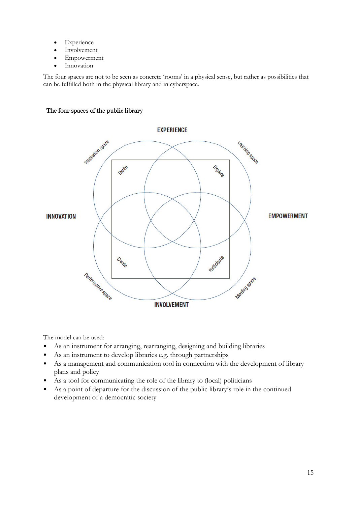- Experience
- Involvement
- Empowerment
- Innovation

The four spaces are not to be seen as concrete 'rooms' in a physical sense, but rather as possibilities that can be fulfilled both in the physical library and in cyberspace.

#### The four spaces of the public library



The model can be used:

- As an instrument for arranging, rearranging, designing and building libraries
- As an instrument to develop libraries e.g. through partnerships
- As a management and communication tool in connection with the development of library plans and policy
- As a tool for communicating the role of the library to (local) politicians
- As a point of departure for the discussion of the public library's role in the continued development of a democratic society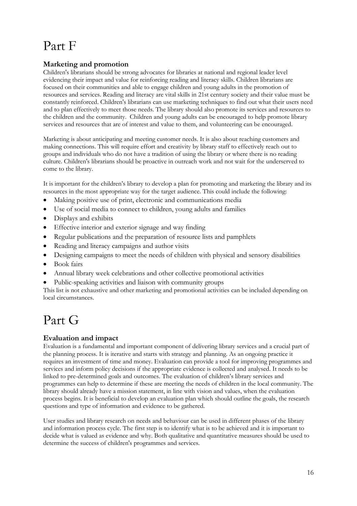## <span id="page-15-0"></span>Part F

## <span id="page-15-1"></span>**Marketing and promotion**

Children's librarians should be strong advocates for libraries at national and regional leader level evidencing their impact and value for reinforcing reading and literacy skills. Children librarians are focused on their communities and able to engage children and young adults in the promotion of resources and services. Reading and literacy are vital skills in 21st century society and their value must be constantly reinforced. Children's librarians can use marketing techniques to find out what their users need and to plan effectively to meet those needs. The library should also promote its services and resources to the children and the community. Children and young adults can be encouraged to help promote library services and resources that are of interest and value to them, and volunteering can be encouraged.

Marketing is about anticipating and meeting customer needs. It is also about reaching customers and making connections. This will require effort and creativity by library staff to effectively reach out to groups and individuals who do not have a tradition of using the library or where there is no reading culture. Children's librarians should be proactive in outreach work and not wait for the underserved to come to the library.

It is important for the children's library to develop a plan for promoting and marketing the library and its resources in the most appropriate way for the target audience. This could include the following:

- Making positive use of print, electronic and communications media
- Use of social media to connect to children, young adults and families
- Displays and exhibits
- Effective interior and exterior signage and way finding
- Regular publications and the preparation of resource lists and pamphlets
- Reading and literacy campaigns and author visits
- Designing campaigns to meet the needs of children with physical and sensory disabilities
- Book fairs
- Annual library week celebrations and other collective promotional activities
- Public-speaking activities and liaison with community groups

This list is not exhaustive and other marketing and promotional activities can be included depending on local circumstances.

## <span id="page-15-2"></span>Part G

## <span id="page-15-3"></span>**Evaluation and impact**

Evaluation is a fundamental and important component of delivering library services and a crucial part of the planning process. It is iterative and starts with strategy and planning. As an ongoing practice it requires an investment of time and money. Evaluation can provide a tool for improving programmes and services and inform policy decisions if the appropriate evidence is collected and analysed. It needs to be linked to pre-determined goals and outcomes. The evaluation of children's library services and programmes can help to determine if these are meeting the needs of children in the local community. The library should already have a mission statement, in line with vision and values, when the evaluation process begins. It is beneficial to develop an evaluation plan which should outline the goals, the research questions and type of information and evidence to be gathered.

User studies and library research on needs and behaviour can be used in different phases of the library and information process cycle. The first step is to identify what is to be achieved and it is important to decide what is valued as evidence and why. Both qualitative and quantitative measures should be used to determine the success of children's programmes and services.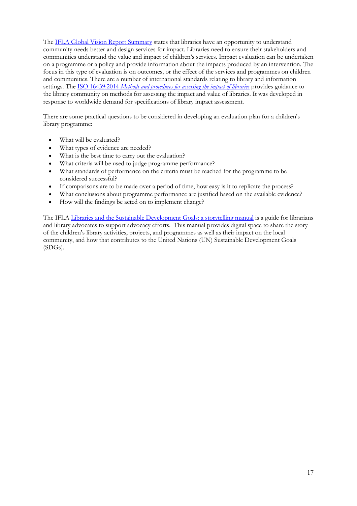Th[e IFLA Global Vision](https://www.ifla.org/files/assets/GVMultimedia/publications/gv-report-summary.pdf) Report Summary states that libraries have an opportunity to understand community needs better and design services for impact. Libraries need to ensure their stakeholders and communities understand the value and impact of children's services. Impact evaluation can be undertaken on a programme or a policy and provide information about the impacts produced by an intervention. The focus in this type of evaluation is on outcomes, or the effect of the services and programmes on children and communities. There are a number of international standards relating to library and information settings. The ISO 16439:2014 *[Methods and procedures for assessing the impact of libraries](http://www.iso.org/iso/catalogue_detail.htm?csnumber=56756)* provides guidance to the library community on methods for assessing the impact and value of libraries. It was developed in response to worldwide demand for specifications of library impact assessment.

There are some practical questions to be considered in developing an evaluation plan for a children's library programme:

- What will be evaluated?
- What types of evidence are needed?
- What is the best time to carry out the evaluation?
- What criteria will be used to judge programme performance?
- What standards of performance on the criteria must be reached for the programme to be considered successful?
- If comparisons are to be made over a period of time, how easy is it to replicate the process?
- What conclusions about programme performance are justified based on the available evidence?
- How will the findings be acted on to implement change?

The IFLA [Libraries and the Sustainable Development Goals: a storytelling manual](https://www.ifla.org/files/assets/hq/topics/libraries-development/documents/sdg-storytelling-manual.pdf) is a guide for librarians and library advocates to support advocacy efforts. This manual provides digital space to share the story of the children's library activities, projects, and programmes as well as their impact on the local community, and how that contributes to the United Nations (UN) Sustainable Development Goals (SDGs).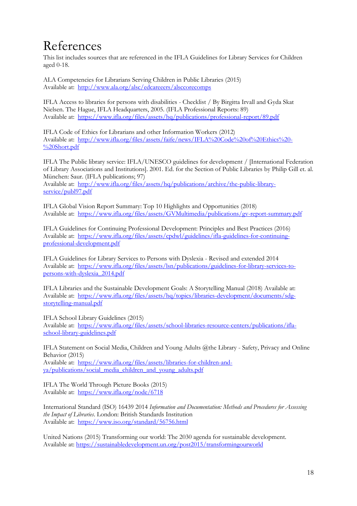## <span id="page-17-0"></span>References

This list includes sources that are referenced in the IFLA Guidelines for Library Services for Children aged 0-18.

ALA Competencies for Librarians Serving Children in Public Libraries (2015) Available at: <http://www.ala.org/alsc/edcareeers/alsccorecomps>

IFLA Access to libraries for persons with disabilities - Checklist / By Birgitta Irvall and Gyda Skat Nielsen. The Hague, IFLA Headquarters, 2005. (IFLA Professional Reports: 89) Available at: <https://www.ifla.org/files/assets/hq/publications/professional-report/89.pdf>

IFLA Code of Ethics for Librarians and other Information Workers (2012) Available at: [http://www.ifla.org/files/assets/faife/news/IFLA%20Code%20of%20Ethics%20-](http://www.ifla.org/files/assets/faife/news/IFLA%20Code%20of%20Ethics%20-%20Short.pdf) [%20Short.pdf](http://www.ifla.org/files/assets/faife/news/IFLA%20Code%20of%20Ethics%20-%20Short.pdf)

IFLA The Public library service: IFLA/UNESCO guidelines for development / [International Federation of Library Associations and Institutions]. 2001. Ed. for the Section of Public Libraries by Philip Gill et. al. München: Saur. (IFLA publications; 97) Available at: [http://www.ifla.org/files/assets/hq/publications/archive/the-public-library](http://www.ifla.org/files/assets/hq/publications/archive/the-public-library-service/publ97.pdf)[service/publ97.pdf](http://www.ifla.org/files/assets/hq/publications/archive/the-public-library-service/publ97.pdf)

IFLA Global Vision Report Summary: Top 10 Highlights and Opportunities (2018) Available at: <https://www.ifla.org/files/assets/GVMultimedia/publications/gv-report-summary.pdf>

IFLA Guidelines for Continuing Professional Development: Principles and Best Practices (2016) Available at: [https://www.ifla.org/files/assets/cpdwl/guidelines/ifla-guidelines-for-continuing](https://www.ifla.org/files/assets/cpdwl/guidelines/ifla-guidelines-for-continuing-professional-development.pdf)[professional-development.pdf](https://www.ifla.org/files/assets/cpdwl/guidelines/ifla-guidelines-for-continuing-professional-development.pdf)

IFLA Guidelines for Library Services to Persons with Dyslexia - Revised and extended 2014 Available at: [https://www.ifla.org/files/assets/lsn/publications/guidelines-for-library-services-to](https://www.ifla.org/files/assets/lsn/publications/guidelines-for-library-services-to-persons-with-dyslexia_2014.pdf)[persons-with-dyslexia\\_2014.pdf](https://www.ifla.org/files/assets/lsn/publications/guidelines-for-library-services-to-persons-with-dyslexia_2014.pdf)

IFLA Libraries and the Sustainable Development Goals: A Storytelling Manual (2018) Available at: Available at: [https://www.ifla.org/files/assets/hq/topics/libraries-development/documents/sdg](https://www.ifla.org/files/assets/hq/topics/libraries-development/documents/sdg-storytelling-manual.pdf)[storytelling-manual.pdf](https://www.ifla.org/files/assets/hq/topics/libraries-development/documents/sdg-storytelling-manual.pdf)

IFLA School Library Guidelines (2015) Available at: [https://www.ifla.org/files/assets/school-libraries-resource-centers/publications/ifla](https://www.ifla.org/files/assets/school-libraries-resource-centers/publications/ifla-school-library-guidelines.pdf)[school-library-guidelines.pdf](https://www.ifla.org/files/assets/school-libraries-resource-centers/publications/ifla-school-library-guidelines.pdf)

IFLA Statement on Social Media, Children and Young Adults @the Library - Safety, Privacy and Online Behavior (2015) Available at: [https://www.ifla.org/files/assets/libraries-for-children-and](https://www.ifla.org/files/assets/libraries-for-children-and-ya/publications/social_media_children_and_young_adults.pdf)[ya/publications/social\\_media\\_children\\_and\\_young\\_adults.pdf](https://www.ifla.org/files/assets/libraries-for-children-and-ya/publications/social_media_children_and_young_adults.pdf)

IFLA The World Through Picture Books (2015) Available at: <https://www.ifla.org/node/6718>

International Standard (ISO) 16439 2014 *Information and Documentation: Methods and Procedures for Assessing the Impact of Libraries*. London: British Standards Institution Available at: <https://www.iso.org/standard/56756.html>

United Nations (2015) Transforming our world: The 2030 agenda for sustainable development. Available at:<https://sustainabledevelopment.un.org/post2015/transformingourworld>